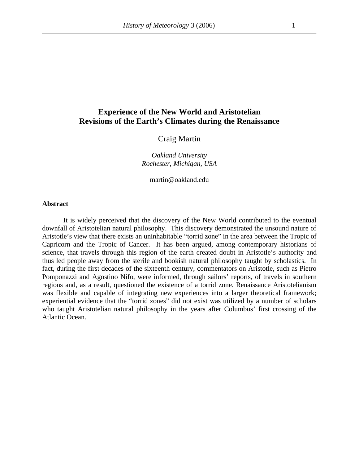# **Experience of the New World and Aristotelian Revisions of the Earth's Climates during the Renaissance**

# Craig Martin

*Oakland University Rochester, Michigan, USA*

martin@oakland.edu

#### **Abstract**

It is widely perceived that the discovery of the New World contributed to the eventual downfall of Aristotelian natural philosophy. This discovery demonstrated the unsound nature of Aristotle's view that there exists an uninhabitable "torrid zone" in the area between the Tropic of Capricorn and the Tropic of Cancer. It has been argued, among contemporary historians of science, that travels through this region of the earth created doubt in Aristotle's authority and thus led people away from the sterile and bookish natural philosophy taught by scholastics. In fact, during the first decades of the sixteenth century, commentators on Aristotle, such as Pietro Pomponazzi and Agostino Nifo, were informed, through sailors' reports, of travels in southern regions and, as a result, questioned the existence of a torrid zone. Renaissance Aristotelianism was flexible and capable of integrating new experiences into a larger theoretical framework; experiential evidence that the "torrid zones" did not exist was utilized by a number of scholars who taught Aristotelian natural philosophy in the years after Columbus' first crossing of the Atlantic Ocean.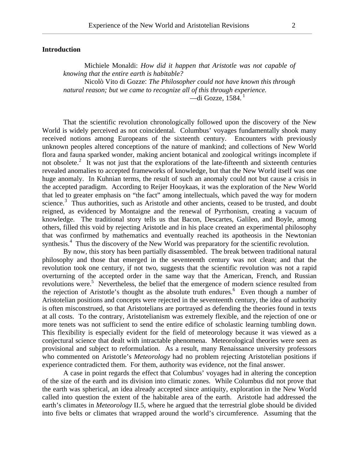## **Introduction**

Michiele Monaldi: *How did it happen that Aristotle was not capable of knowing that the entire earth is habitable?* Nicolò Vito di Gozze: *The Philosopher could not have known this through* 

*natural reason; but we came to recognize all of this through experience.*

—di Gozze,  $1584$ <sup> $1$ </sup>

That the scientific revolution chronologically followed upon the discovery of the New World is widely perceived as not coincidental. Columbus' voyages fundamentally shook many received notions among Europeans of the sixteenth century. Encounters with previously unknown peoples altered conceptions of the nature of mankind; and collections of New World flora and fauna sparked wonder, making ancient botanical and zoological writings incomplete if not obsolete.<sup>2</sup> It was not just that the explorations of the late-fifteenth and sixteenth centuries revealed anomalies to accepted frameworks of knowledge, but that the New World itself was one huge anomaly. In Kuhnian terms, the result of such an anomaly could not but cause a crisis in the accepted paradigm. According to Reijer Hooykaas, it was the exploration of the New World that led to greater emphasis on "the fact" among intellectuals, which paved the way for modern science.<sup>3</sup> Thus authorities, such as Aristotle and other ancients, ceased to be trusted, and doubt reigned, as evidenced by Montaigne and the renewal of Pyrrhonism, creating a vacuum of knowledge. The traditional story tells us that Bacon, Descartes, Galileo, and Boyle, among others, filled this void by rejecting Aristotle and in his place created an experimental philosophy that was confirmed by mathematics and eventually reached its apotheosis in the Newtonian synthesis.<sup>4</sup> Thus the discovery of the New World was preparatory for the scientific revolution.

 By now, this story has been partially disassembled. The break between traditional natural philosophy and those that emerged in the seventeenth century was not clean; and that the revolution took one century, if not two, suggests that the scientific revolution was not a rapid overturning of the accepted order in the same way that the American, French, and Russian revolutions were.<sup>5</sup> Nevertheless, the belief that the emergence of modern science resulted from the rejection of Aristotle's thought as the absolute truth endures.<sup>6</sup> Even though a number of Aristotelian positions and concepts were rejected in the seventeenth century, the idea of authority is often misconstrued, so that Aristotelians are portrayed as defending the theories found in texts at all costs. To the contrary, Aristotelianism was extremely flexible, and the rejection of one or more tenets was not sufficient to send the entire edifice of scholastic learning tumbling down. This flexibility is especially evident for the field of meteorology because it was viewed as a conjectural science that dealt with intractable phenomena. Meteorological theories were seen as provisional and subject to reformulation. As a result, many Renaissance university professors who commented on Aristotle's *Meteorology* had no problem rejecting Aristotelian positions if experience contradicted them. For them, authority was evidence, not the final answer.

 A case in point regards the effect that Columbus' voyages had in altering the conception of the size of the earth and its division into climatic zones. While Columbus did not prove that the earth was spherical, an idea already accepted since antiquity, exploration in the New World called into question the extent of the habitable area of the earth. Aristotle had addressed the earth's climates in *Meteorology* II.5*,* where he argued that the terrestrial globe should be divided into five belts or climates that wrapped around the world's circumference. Assuming that the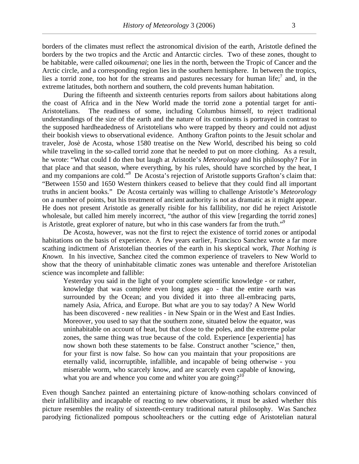borders of the climates must reflect the astronomical division of the earth, Aristotle defined the borders by the two tropics and the Arctic and Antarctic circles. Two of these zones, thought to be habitable, were called *oikoumenai*; one lies in the north, between the Tropic of Cancer and the Arctic circle, and a corresponding region lies in the southern hemisphere. In between the tropics, lies a torrid zone, too hot for the streams and pastures necessary for human life;<sup>7</sup> and, in the extreme latitudes, both northern and southern, the cold prevents human habitation.

During the fifteenth and sixteenth centuries reports from sailors about habitations along the coast of Africa and in the New World made the torrid zone a potential target for anti-Aristotelians. The readiness of some, including Columbus himself, to reject traditional understandings of the size of the earth and the nature of its continents is portrayed in contrast to the supposed hardheadedness of Aristotelians who were trapped by theory and could not adjust their bookish views to observational evidence. Anthony Grafton points to the Jesuit scholar and traveler, Josè de Acosta, whose 1580 treatise on the New World, described his being so cold while traveling in the so-called torrid zone that he needed to put on more clothing. As a result, he wrote: "What could I do then but laugh at Aristotle's *Meteorology* and his philosophy? For in that place and that season, where everything, by his rules, should have scorched by the heat, I and my companions are cold."<sup>8</sup> De Acosta's rejection of Aristotle supports Grafton's claim that: "Between 1550 and 1650 Western thinkers ceased to believe that they could find all important truths in ancient books." De Acosta certainly was willing to challenge Aristotle's *Meteorology* on a number of points, but his treatment of ancient authority is not as dramatic as it might appear. He does not present Aristotle as generally risible for his fallibility, nor did he reject Aristotle wholesale, but called him merely incorrect, "the author of this view [regarding the torrid zones] is Aristotle, great explorer of nature, but who in this case wanders far from the truth."<sup>9</sup>

 De Acosta, however, was not the first to reject the existence of torrid zones or antipodal habitations on the basis of experience. A few years earlier, Francisco Sanchez wrote a far more scathing indictment of Aristotelian theories of the earth in his skeptical work, *That Nothing is Known.* In his invective, Sanchez cited the common experience of travelers to New World to show that the theory of uninhabitable climatic zones was untenable and therefore Aristotelian science was incomplete and fallible:

Yesterday you said in the light of your complete scientific knowledge - or rather, knowledge that was complete even long ages ago - that the entire earth was surrounded by the Ocean; and you divided it into three all-embracing parts, namely Asia, Africa, and Europe. But what are you to say today? A New World has been discovered - new realities - in New Spain or in the West and East Indies. Moreover, you used to say that the southern zone, situated below the equator, was uninhabitable on account of heat, but that close to the poles, and the extreme polar zones, the same thing was true because of the cold. Experience [experientia] has now shown both these statements to be false. Construct another "science," then, for your first is now false. So how can you maintain that your propositions are eternally valid, incorruptible, infallible, and incapable of being otherwise - you miserable worm, who scarcely know, and are scarcely even capable of knowing, what you are and whence you come and whiter you are going?<sup>10</sup>

Even though Sanchez painted an entertaining picture of know-nothing scholars convinced of their infallibility and incapable of reacting to new observations, it must be asked whether this picture resembles the reality of sixteenth-century traditional natural philosophy. Was Sanchez parodying fictionalized pompous schoolteachers or the cutting edge of Aristotelian natural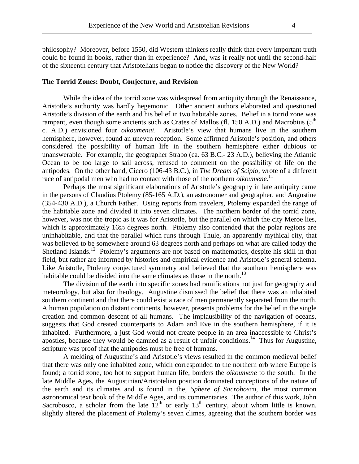philosophy? Moreover, before 1550, did Western thinkers really think that every important truth could be found in books, rather than in experience? And, was it really not until the second-half of the sixteenth century that Aristotelians began to notice the discovery of the New World?

### **The Torrid Zones: Doubt, Conjecture, and Revision**

While the idea of the torrid zone was widespread from antiquity through the Renaissance, Aristotle's authority was hardly hegemonic. Other ancient authors elaborated and questioned Aristotle's division of the earth and his belief in two habitable zones. Belief in a torrid zone was rampant, even though some ancients such as Crates of Mallos (fl. 150 A.D.) and Macrobius ( $5<sup>th</sup>$ c. A.D.) envisioned four *oikoumenai*. Aristotle's view that humans live in the southern hemisphere, however, found an uneven reception. Some affirmed Aristotle's position, and others considered the possibility of human life in the southern hemisphere either dubious or unanswerable. For example, the geographer Strabo (ca. 63 B.C.- 23 A.D.), believing the Atlantic Ocean to be too large to sail across, refused to comment on the possibility of life on the antipodes. On the other hand, Cicero (106-43 B.C.), in *The Dream of Scipio*, wrote of a different race of antipodal men who had no contact with those of the northern *oikoumene*. 11

Perhaps the most significant elaborations of Aristotle's geography in late antiquity came in the persons of Claudius Ptolemy (85-165 A.D.), an astronomer and geographer, and Augustine (354-430 A.D.), a Church Father. Using reports from travelers, Ptolemy expanded the range of the habitable zone and divided it into seven climates. The northern border of the torrid zone, however, was not the tropic as it was for Aristotle, but the parallel on which the city Meroe lies, which is approximately 165/8 degrees north. Ptolemy also contended that the polar regions are uninhabitable, and that the parallel which runs through Thule, an apparently mythical city, that was believed to be somewhere around 63 degrees north and perhaps on what are called today the Shetland Islands.<sup>12</sup> Ptolemy's arguments are not based on mathematics, despite his skill in that field, but rather are informed by histories and empirical evidence and Aristotle's general schema. Like Aristotle, Ptolemy conjectured symmetry and believed that the southern hemisphere was habitable could be divided into the same climates as those in the north.<sup>13</sup>

The division of the earth into specific zones had ramifications not just for geography and meteorology, but also for theology. Augustine dismissed the belief that there was an inhabited southern continent and that there could exist a race of men permanently separated from the north. A human population on distant continents, however, presents problems for the belief in the single creation and common descent of all humans. The implausibility of the navigation of oceans, suggests that God created counterparts to Adam and Eve in the southern hemisphere, if it is inhabited. Furthermore, a just God would not create people in an area inaccessible to Christ's apostles, because they would be damned as a result of unfair conditions.<sup>14</sup> Thus for Augustine, scripture was proof that the antipodes must be free of humans.

A melding of Augustine's and Aristotle's views resulted in the common medieval belief that there was only one inhabited zone, which corresponded to the northern orb where Europe is found; a torrid zone, too hot to support human life, borders the *oikoumene* to the south. In the late Middle Ages, the Augustinian/Aristotelian position dominated conceptions of the nature of the earth and its climates and is found in the, *Sphere of Sacrobosco,* the most common astronomical text book of the Middle Ages, and its commentaries. The author of this work, John Sacrobosco, a scholar from the late  $12<sup>th</sup>$  or early  $13<sup>th</sup>$  century, about whom little is known, slightly altered the placement of Ptolemy's seven climes, agreeing that the southern border was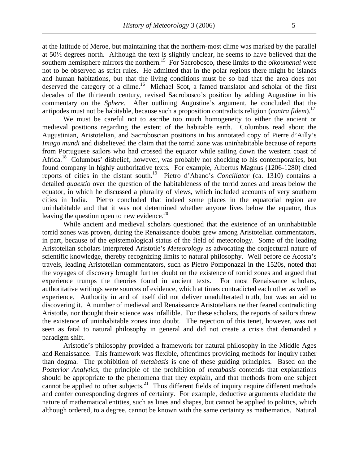at the latitude of Meroe, but maintaining that the northern-most clime was marked by the parallel at  $50\frac{1}{2}$  degrees north. Although the text is slightly unclear, he seems to have believed that the southern hemisphere mirrors the northern.<sup>15</sup> For Sacrobosco, these limits to the *oikoumenai* were not to be observed as strict rules. He admitted that in the polar regions there might be islands and human habitations, but that the living conditions must be so bad that the area does not deserved the category of a clime.<sup>16</sup> Michael Scot, a famed translator and scholar of the first decades of the thirteenth century, revised Sacrobosco's position by adding Augustine in his commentary on the *Sphere*. After outlining Augustine's argument, he concluded that the antipodes must not be habitable, because such a proposition contradicts religion (*contra fidem*).17

We must be careful not to ascribe too much homogeneity to either the ancient or medieval positions regarding the extent of the habitable earth. Columbus read about the Augustinian, Aristotelian, and Sacroboscian positions in his annotated copy of Pierre d'Ailly's *Imago mundi* and disbelieved the claim that the torrid zone was uninhabitable because of reports from Portuguese sailors who had crossed the equator while sailing down the western coast of Africa.<sup>18</sup> Columbus' disbelief, however, was probably not shocking to his contemporaries, but found company in highly authoritative texts. For example, Albertus Magnus (1206-1280) cited reports of cities in the distant south.19 Pietro d'Abano's *Conciliator* (ca. 1310) contains a detailed *quaestio* over the question of the habitableness of the torrid zones and areas below the equator, in which he discussed a plurality of views, which included accounts of very southern cities in India. Pietro concluded that indeed some places in the equatorial region are uninhabitable and that it was not determined whether anyone lives below the equator, thus leaving the question open to new evidence.<sup>20</sup>

 While ancient and medieval scholars questioned that the existence of an uninhabitable torrid zones was proven, during the Renaissance doubts grew among Aristotelian commentators, in part, because of the epistemological status of the field of meteorology. Some of the leading Aristotelian scholars interpreted Aristotle's *Meteorology* as advocating the conjectural nature of scientific knowledge, thereby recognizing limits to natural philosophy. Well before de Acosta's travels, leading Aristotelian commentators, such as Pietro Pomponazzi in the 1520s, noted that the voyages of discovery brought further doubt on the existence of torrid zones and argued that experience trumps the theories found in ancient texts. For most Renaissance scholars, authoritative writings were sources of evidence, which at times contradicted each other as well as experience. Authority in and of itself did not deliver unadulterated truth, but was an aid to discovering it. A number of medieval and Renaissance Aristotelians neither feared contradicting Aristotle, nor thought their science was infallible. For these scholars, the reports of sailors threw the existence of uninhabitable zones into doubt. The rejection of this tenet, however, was not seen as fatal to natural philosophy in general and did not create a crisis that demanded a paradigm shift.

 Aristotle's philosophy provided a framework for natural philosophy in the Middle Ages and Renaissance. This framework was flexible, oftentimes providing methods for inquiry rather than dogma. The prohibition of *metabasis* is one of these guiding principles. Based on the *Posterior Analytics*, the principle of the prohibition of *metabasis* contends that explanations should be appropriate to the phenomena that they explain, and that methods from one subject cannot be applied to other subjects.<sup>21</sup> Thus different fields of inquiry require different methods and confer corresponding degrees of certainty. For example, deductive arguments elucidate the nature of mathematical entities, such as lines and shapes, but cannot be applied to politics, which although ordered, to a degree, cannot be known with the same certainty as mathematics. Natural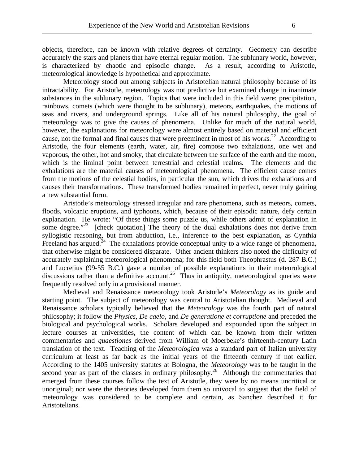objects, therefore, can be known with relative degrees of certainty. Geometry can describe accurately the stars and planets that have eternal regular motion. The sublunary world, however, is characterized by chaotic and episodic change. As a result, according to Aristotle, meteorological knowledge is hypothetical and approximate.

 Meteorology stood out among subjects in Aristotelian natural philosophy because of its intractability. For Aristotle, meteorology was not predictive but examined change in inanimate substances in the sublunary region. Topics that were included in this field were: precipitation, rainbows, comets (which were thought to be sublunary), meteors, earthquakes, the motions of seas and rivers, and underground springs. Like all of his natural philosophy, the goal of meteorology was to give the causes of phenomena. Unlike for much of the natural world, however, the explanations for meteorology were almost entirely based on material and efficient cause, not the formal and final causes that were preeminent in most of his works.<sup>22</sup> According to Aristotle, the four elements (earth, water, air, fire) compose two exhalations, one wet and vaporous, the other, hot and smoky, that circulate between the surface of the earth and the moon, which is the liminal point between terrestrial and celestial realms. The elements and the exhalations are the material causes of meteorological phenomena. The efficient cause comes from the motions of the celestial bodies, in particular the sun, which drives the exhalations and causes their transformations. These transformed bodies remained imperfect, never truly gaining a new substantial form.

Aristotle's meteorology stressed irregular and rare phenomena, such as meteors, comets, floods, volcanic eruptions, and typhoons, which, because of their episodic nature, defy certain explanation. He wrote: "Of these things some puzzle us, while others admit of explanation in some degree."<sup>23</sup> [check quotation] The theory of the dual exhalations does not derive from syllogistic reasoning, but from abduction, i.e., inference to the best explanation, as Cynthia Freeland has argued.<sup>24</sup> The exhalations provide conceptual unity to a wide range of phenomena, that otherwise might be considered disparate. Other ancient thinkers also noted the difficulty of accurately explaining meteorological phenomena; for this field both Theophrastus (d. 287 B.C.) and Lucretius (99-55 B.C.) gave a number of possible explanations in their meteorological discussions rather than a definitive account.<sup>25</sup> Thus in antiquity, meteorological queries were frequently resolved only in a provisional manner.

 Medieval and Renaissance meteorology took Aristotle's *Meteorology* as its guide and starting point. The subject of meteorology was central to Aristotelian thought. Medieval and Renaissance scholars typically believed that the *Meteorology* was the fourth part of natural philosophy; it follow the *Physics, De caelo,* and *De generatione et corruptione* and preceded the biological and psychological works. Scholars developed and expounded upon the subject in lecture courses at universities, the content of which can be known from their written commentaries and *quaestiones* derived from William of Moerbeke's thirteenth-century Latin translation of the text. Teaching of the *Meteorologica* was a standard part of Italian university curriculum at least as far back as the initial years of the fifteenth century if not earlier. According to the 1405 university statutes at Bologna, the *Meteorology* was to be taught in the second year as part of the classes in ordinary philosophy.<sup>26</sup> Although the commentaries that emerged from these courses follow the text of Aristotle, they were by no means uncritical or unoriginal; nor were the theories developed from them so univocal to suggest that the field of meteorology was considered to be complete and certain, as Sanchez described it for Aristotelians.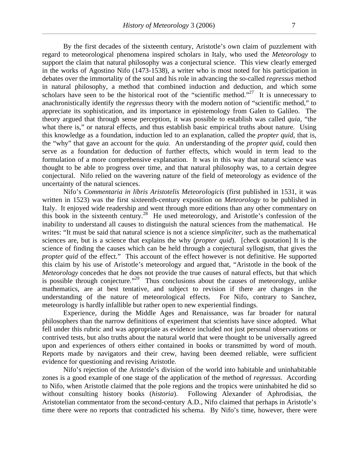By the first decades of the sixteenth century, Aristotle's own claim of puzzlement with regard to meteorological phenomena inspired scholars in Italy, who used the *Meteorology* to support the claim that natural philosophy was a conjectural science. This view clearly emerged in the works of Agostino Nifo (1473-1538), a writer who is most noted for his participation in debates over the immortality of the soul and his role in advancing the so-called *regressus* method in natural philosophy, a method that combined induction and deduction, and which some scholars have seen to be the historical root of the "scientific method."<sup>27</sup> It is unnecessary to anachronistically identify the *regressus* theory with the modern notion of "scientific method," to appreciate its sophistication, and its importance in epistemology from Galen to Galileo. The theory argued that through sense perception, it was possible to establish was called *quia*, "the what there is," or natural effects, and thus establish basic empirical truths about nature. Using this knowledge as a foundation, induction led to an explanation, called the *propter quid*, that is, the "why" that gave an account for the *quia.* An understanding of the *propter quid*, could then serve as a foundation for deduction of further effects, which would in term lead to the formulation of a more comprehensive explanation. It was in this way that natural science was thought to be able to progress over time, and that natural philosophy was, to a certain degree conjectural. Nifo relied on the wavering nature of the field of meteorology as evidence of the uncertainty of the natural sciences.

Nifo's *Commentaria in libris Aristotelis Meteorologicis* (first published in 1531, it was written in 1523) was the first sixteenth-century exposition on *Meteorology* to be published in Italy. It enjoyed wide readership and went through more editions than any other commentary on this book in the sixteenth century.<sup>28</sup> He used meteorology, and Aristotle's confession of the inability to understand all causes to distinguish the natural sciences from the mathematical. He writes: "It must be said that natural science is not a science *simpliciter*, such as the mathematical sciences are, but is a science that explains the why (*propter quid*). [check quotation] It is the science of finding the causes which can be held through a conjectural syllogism, that gives the *propter quid* of the effect." This account of the effect however is not definitive. He supported this claim by his use of Aristotle's meteorology and argued that, "Aristotle in the book of the *Meteorology* concedes that he does not provide the true causes of natural effects, but that which is possible through conjecture."<sup>29</sup> Thus conclusions about the causes of meteorology, unlike mathematics, are at best tentative, and subject to revision if there are changes in the understanding of the nature of meteorological effects. For Nifo, contrary to Sanchez, meteorology is hardly infallible but rather open to new experiential findings.

 Experience, during the Middle Ages and Renaissance, was far broader for natural philosophers than the narrow definitions of experiment that scientists have since adopted. What fell under this rubric and was appropriate as evidence included not just personal observations or contrived tests, but also truths about the natural world that were thought to be universally agreed upon and experiences of others either contained in books or transmitted by word of mouth. Reports made by navigators and their crew, having been deemed reliable, were sufficient evidence for questioning and revising Aristotle.

 Nifo's rejection of the Aristotle's division of the world into habitable and uninhabitable zones is a good example of one stage of the application of the method of *regressus*. According to Nifo, when Aristotle claimed that the pole regions and the tropics were uninhabited he did so without consulting history books (*historia*). Following Alexander of Aphrodisias, the Aristotelian commentator from the second-century A.D., Nifo claimed that perhaps in Aristotle's time there were no reports that contradicted his schema. By Nifo's time, however, there were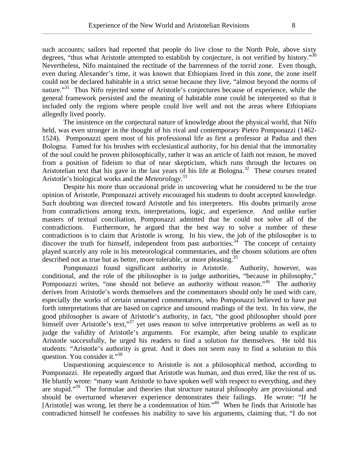such accounts; sailors had reported that people do live close to the North Pole, above sixty degrees, "thus what Aristotle attempted to establish by conjecture, is not verified by history."<sup>30</sup> Nevertheless, Nifo maintained the rectitude of the barrenness of the torrid zone. Even though, even during Alexander's time, it was known that Ethiopians lived in this zone, the zone itself could not be declared habitable in a strict sense because they live, "almost beyond the norms of nature."<sup>31</sup> Thus Nifo rejected some of Aristotle's conjectures because of experience, while the general framework persisted and the meaning of habitable zone could be interpreted so that it included only the regions where people could live well and not the areas where Ethiopians allegedly lived poorly.

 The insistence on the conjectural nature of knowledge about the physical world, that Nifo held, was even stronger in the thought of his rival and contemporary Pietro Pomponazzi (1462-1524). Pomponazzi spent most of his professional life as first a professor at Padua and then Bologna. Famed for his brushes with ecclesiastical authority, for his denial that the immortality of the soul could be proven philosophically, rather it was an article of faith not reason, he moved from a position of fideism to that of near skepticism, which runs through the lectures on Aristotelian text that his gave in the last years of his life at Bologna.<sup>32</sup> These courses treated Aristotle's biological works and the *Meteorology*. 33

Despite his more than occasional pride in uncovering what he considered to be the true opinion of Aristotle, Pomponazzi actively encouraged his students to doubt accepted knowledge. Such doubting was directed toward Aristotle and his interpreters. His doubts primarily arose from contradictions among texts, interpretations, logic, and experience. And unlike earlier masters of textual conciliation, Pomponazzi admitted that he could not solve all of the contradictions. Furthermore, he argued that the best way to solve a number of these contradictions is to claim that Aristotle is wrong. In his view, the job of the philosopher is to discover the truth for himself, independent from past authorities.<sup>34</sup> The concept of certainty played scarcely any role in his meteorological commentaries, and the chosen solutions are often described not as true but as better, more tolerable, or more pleasing.<sup>35</sup>

Pomponazzi found significant authority in Aristotle. Authority, however, was conditional, and the role of the philosopher is to judge authorities, "because in philosophy," Pomponazzi writes, "one should not believe an authority without reason."<sup>36</sup> The authority derives from Aristotle's words themselves and the commentators should only be used with care, especially the works of certain unnamed commentators, who Pomponazzi believed to have put forth interpretations that are based on caprice and unsound readings of the text. In his view, the good philosopher is aware of Aristotle's authority, in fact, "the good philosopher should pore himself over Aristotle's text,"<sup>37</sup> yet uses reason to solve interpretative problems as well as to judge the validity of Aristotle's arguments. For example, after being unable to explicate Aristotle successfully, he urged his readers to find a solution for themselves. He told his students: "Aristotle's authority is great. And it does not seem easy to find a solution to this question. You consider it."<sup>38</sup>

Unquestioning acquiescence to Aristotle is not a philosophical method, according to Pomponazzi. He repeatedly argued that Aristotle was human, and thus erred, like the rest of us. He bluntly wrote: "many want Aristotle to have spoken well with respect to everything, and they are stupid."<sup>39</sup> The formulae and theories that structure natural philosophy are provisional and should be overturned whenever experience demonstrates their failings. He wrote: "If he [Aristotle] was wrong, let there be a condemnation of him."<sup>40</sup> When he finds that Aristotle has contradicted himself he confesses his inability to save his arguments, claiming that, "I do not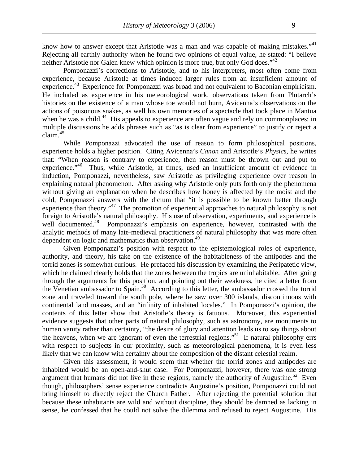know how to answer except that Aristotle was a man and was capable of making mistakes."<sup>41</sup> Rejecting all earthly authority when he found two opinions of equal value, he stated: "I believe neither Aristotle nor Galen knew which opinion is more true, but only God does."<sup>42</sup>

Pomponazzi's corrections to Aristotle, and to his interpreters, most often come from experience, because Aristotle at times induced larger rules from an insufficient amount of experience.<sup>43</sup> Experience for Pomponazzi was broad and not equivalent to Baconian empiricism. He included as experience in his meteorological work, observations taken from Plutarch's histories on the existence of a man whose toe would not burn, Avicenna's observations on the actions of poisonous snakes, as well his own memories of a spectacle that took place in Mantua when he was a child.<sup>44</sup> His appeals to experience are often vague and rely on commonplaces; in multiple discussions he adds phrases such as "as is clear from experience" to justify or reject a claim. $45$ 

While Pomponazzi advocated the use of reason to form philosophical positions, experience holds a higher position. Citing Avicenna's *Canon* and Aristotle's *Physics*, he writes that: "When reason is contrary to experience, then reason must be thrown out and put to experience."<sup>46</sup> Thus, while Aristotle, at times, used an insufficient amount of evidence in induction, Pomponazzi, nevertheless, saw Aristotle as privileging experience over reason in explaining natural phenomenon. After asking why Aristotle only puts forth only the phenomena without giving an explanation when he describes how honey is affected by the moist and the cold, Pomponazzi answers with the dictum that "it is possible to be known better through experience than theory."<sup>47</sup> The promotion of experiential approaches to natural philosophy is not foreign to Aristotle's natural philosophy. His use of observation, experiments, and experience is well documented.<sup>48</sup> Pomponazzi's emphasis on experience, however, contrasted with the analytic methods of many late-medieval practitioners of natural philosophy that was more often dependent on logic and mathematics than observation.<sup>49</sup>

Given Pomponazzi's position with respect to the epistemological roles of experience, authority, and theory, his take on the existence of the habitableness of the antipodes and the torrid zones is somewhat curious. He prefaced his discussion by examining the Peripatetic view, which he claimed clearly holds that the zones between the tropics are uninhabitable. After going through the arguments for this position, and pointing out their weakness, he cited a letter from the Venetian ambassador to Spain.50 According to this letter, the ambassador crossed the torrid zone and traveled toward the south pole, where he saw over 300 islands, discontinuous with continental land masses, and an "infinity of inhabited locales." In Pomponazzi's opinion, the contents of this letter show that Aristotle's theory is fatuous. Moreover, this experiential evidence suggests that other parts of natural philosophy, such as astronomy, are monuments to human vanity rather than certainty, "the desire of glory and attention leads us to say things about the heavens, when we are ignorant of even the terrestrial regions."51 If natural philosophy errs with respect to subjects in our proximity, such as meteorological phenomena, it is even less likely that we can know with certainty about the composition of the distant celestial realm.

 Given this assessment, it would seem that whether the torrid zones and antipodes are inhabited would be an open-and-shut case. For Pomponazzi, however, there was one strong argument that humans did not live in these regions, namely the authority of Augustine.<sup>52</sup> Even though, philosophers' sense experience contradicts Augustine's position, Pomponazzi could not bring himself to directly reject the Church Father. After rejecting the potential solution that because these inhabitants are wild and without discipline, they should be damned as lacking in sense, he confessed that he could not solve the dilemma and refused to reject Augustine. His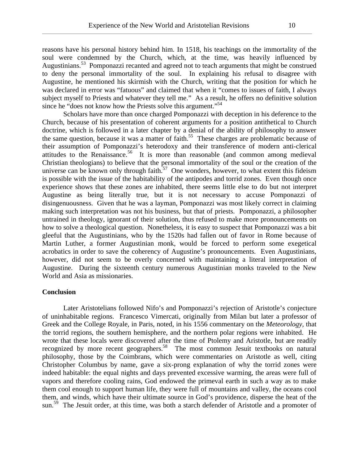reasons have his personal history behind him. In 1518, his teachings on the immortality of the soul were condemned by the Church, which, at the time, was heavily influenced by Augustinians.<sup>53</sup> Pomponazzi recanted and agreed not to teach arguments that might be construed to deny the personal immortality of the soul. In explaining his refusal to disagree with Augustine, he mentioned his skirmish with the Church, writing that the position for which he was declared in error was "fatuous" and claimed that when it "comes to issues of faith, I always subject myself to Priests and whatever they tell me." As a result, he offers no definitive solution since he "does not know how the Priests solve this argument."<sup>54</sup>

 Scholars have more than once charged Pomponazzi with deception in his deference to the Church, because of his presentation of coherent arguments for a position antithetical to Church doctrine, which is followed in a later chapter by a denial of the ability of philosophy to answer the same question, because it was a matter of faith.<sup>55</sup> These charges are problematic because of their assumption of Pomponazzi's heterodoxy and their transference of modern anti-clerical attitudes to the Renaissance.56 It is more than reasonable (and common among medieval Christian theologians) to believe that the personal immortality of the soul or the creation of the universe can be known only through faith. $57$  One wonders, however, to what extent this fideism is possible with the issue of the habitability of the antipodes and torrid zones. Even though once experience shows that these zones are inhabited, there seems little else to do but not interpret Augustine as being literally true, but it is not necessary to accuse Pomponazzi of disingenuousness. Given that he was a layman, Pomponazzi was most likely correct in claiming making such interpretation was not his business, but that of priests. Pomponazzi, a philosopher untrained in theology, ignorant of their solution, thus refused to make more pronouncements on how to solve a theological question. Nonetheless, it is easy to suspect that Pomponazzi was a bit gleeful that the Augustinians, who by the 1520s had fallen out of favor in Rome because of Martin Luther, a former Augustinian monk, would be forced to perform some exegetical acrobatics in order to save the coherency of Augustine's pronouncements. Even Augustinians, however, did not seem to be overly concerned with maintaining a literal interpretation of Augustine. During the sixteenth century numerous Augustinian monks traveled to the New World and Asia as missionaries.

#### **Conclusion**

Later Aristotelians followed Nifo's and Pomponazzi's rejection of Aristotle's conjecture of uninhabitable regions. Francesco Vimercati, originally from Milan but later a professor of Greek and the College Royale, in Paris, noted, in his 1556 commentary on the *Meteorology,* that the torrid regions, the southern hemisphere, and the northern polar regions were inhabited. He wrote that these locals were discovered after the time of Ptolemy and Aristotle, but are readily recognized by more recent geographers.<sup>58</sup> The most common Jesuit textbooks on natural philosophy, those by the Coimbrans, which were commentaries on Aristotle as well, citing Christopher Columbus by name, gave a six-prong explanation of why the torrid zones were indeed habitable: the equal nights and days prevented excessive warming, the areas were full of vapors and therefore cooling rains, God endowed the primeval earth in such a way as to make them cool enough to support human life, they were full of mountains and valley, the oceans cool them, and winds, which have their ultimate source in God's providence, disperse the heat of the sun.<sup>59</sup> The Jesuit order, at this time, was both a starch defender of Aristotle and a promoter of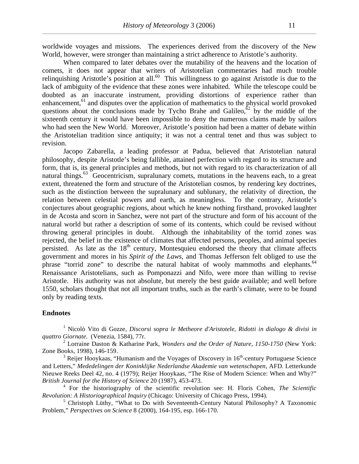worldwide voyages and missions. The experiences derived from the discovery of the New World, however, were stronger than maintaining a strict adherence to Aristotle's authority.

 When compared to later debates over the mutability of the heavens and the location of comets, it does not appear that writers of Aristotelian commentaries had much trouble relinguishing Aristotle's position at all.<sup>60</sup> This willingness to go against Aristotle is due to the lack of ambiguity of the evidence that these zones were inhabited. While the telescope could be doubted as an inaccurate instrument, providing distortions of experience rather than enhancement, $61$  and disputes over the application of mathematics to the physical world provoked questions about the conclusions made by Tycho Brahe and Galileo,<sup>62</sup> by the middle of the sixteenth century it would have been impossible to deny the numerous claims made by sailors who had seen the New World. Moreover, Aristotle's position had been a matter of debate within the Aristotelian tradition since antiquity; it was not a central tenet and thus was subject to revision.

 Jacopo Zabarella, a leading professor at Padua, believed that Aristotelian natural philosophy, despite Aristotle's being fallible, attained perfection with regard to its structure and form, that is, its general principles and methods, but not with regard to its characterization of all natural things. $^{63}$  Geocentricism, supralunary comets, mutations in the heavens each, to a great extent, threatened the form and structure of the Aristotelian cosmos, by rendering key doctrines, such as the distinction between the supralunary and sublunary, the relativity of direction, the relation between celestial powers and earth, as meaningless. To the contrary, Aristotle's conjectures about geographic regions, about which he knew nothing firsthand, provoked laughter in de Acosta and scorn in Sanchez, were not part of the structure and form of his account of the natural world but rather a description of some of its contents, which could be revised without throwing general principles in doubt. Although the inhabitability of the torrid zones was rejected, the belief in the existence of climates that affected persons, peoples, and animal species persisted. As late as the  $18<sup>th</sup>$  century, Montesquieu endorsed the theory that climate affects government and mores in his *Spirit of the Laws*, and Thomas Jefferson felt obliged to use the phrase "torrid zone" to describe the natural habitat of wooly mammoths and elephants.<sup>64</sup> Renaissance Aristotelians, such as Pomponazzi and Nifo, were more than willing to revise Aristotle. His authority was not absolute, but merely the best guide available; and well before 1550, scholars thought that not all important truths, such as the earth's climate, were to be found only by reading texts.

## **Endnotes**

<sup>1</sup> Nicolò Vito di Gozze, *Discorsi sopra le Metheore d'Aristotele, Ridotti in dialogo & divisi in quattro Giornate*. (Venezia, 1584), 77r.

2 Lorraine Daston & Katharine Park, *Wonders and the Order of Nature, 1150-1750* (New York: Zone Books, 1998), 146-159.

<sup>3</sup> Reijer Hooykaas, "Humanism and the Voyages of Discovery in  $16<sup>th</sup>$ -century Portuguese Science and Letters," *Mededelingen der Koninklijke Nederlandse Akademie van wetenschapen*, AFD. Letterkunde Nieuwe Reeks Deel 42, no. 4 (1979); Reijer Hooykaas, "The Rise of Modern Science: When and Why?" *British Journal for the History of Science* 20 (1987), 453-473.

4 For the historiography of the scientific revolution see: H. Floris Cohen, *The Scientific Revolution: A Historiographical Inquiry* (Chicago: University of Chicago Press, 1994).

<sup>5</sup> Christoph Lüthy, "What to Do with Seventeenth-Century Natural Philosophy? A Taxonomic Problem," *Perspectives on Science* 8 (2000), 164-195, esp. 166-170.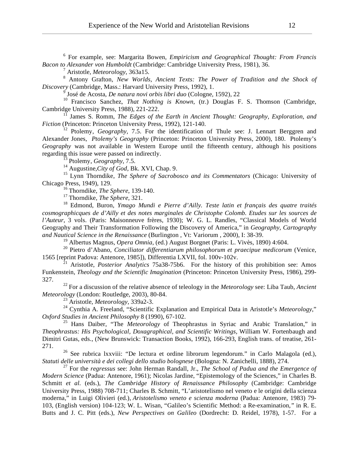6 For example, see: Margarita Bowen, *Empiricism and Geographical Thought: From Francis Bacon to Alexander von Humboldt* (Cambridge: Cambridge University Press, 1981), 36.

7 Aristotle, *Meteorology*, 363a15.

8 Antony Grafton, *New Worlds*, *Ancient Texts: The Power of Tradition and the Shock of Discovery* (Cambridge, Mass.: Harvard University Press, 1992), 1.

9 José de Acosta, *De natura novi orbis libri duo* (Cologne, 1592), 22

<sup>10</sup> Francisco Sanchez, *That Nothing is Known*, (tr.) Douglas F. S. Thomson (Cambridge, Cambridge University Press, 1988), 221-222.

<sup>11</sup> James S. Romm, *The Edges of the Earth in Ancient Thought: Geography, Exploration, and Fiction* (Princeton: Princeton University Press, 1992), 121-140.

12 Ptolemy, *Geography,* 7.5. For the identification of Thule see: J. Lennart Berggren and Alexander Jones, *Ptolemy's Geography* (Princeton: Princeton University Press, 2000), 180. Ptolemy's *Geography* was not available in Western Europe until the fifteenth century, although his positions regarding this issue were passed on indirectly.

13 Ptolemy, *Geography,* 7.5.

14 Augustine,*City of God*, Bk. XVI, Chap. 9.

15 Lynn Thorndike, *The Sphere of Sacrobosco and its Commentators* (Chicago: University of Chicago Press, 1949), 129.

16 Thorndike, *The Sphere*, 139-140.

17 Thorndike, *The Sphere,* 321.

18 Edmond, Buron, *Ymago Mundi e Pierre d'Ailly. Teste latin et français des quatre traités cosmographicques de d'Ailly et des notes marginales de Christophe Colomb. Etudes sur les sources de l'Auteur*, 3 vols. (Paris: Maisonneuve frères, 1930); W. G. L. Randles, "Classical Models of World Geography and Their Transformation Following the Discovery of America," in *Geography, Cartography and Nautical Science in the Renaissance* (Burlington , Vt: Variorum , 2000), I: 38-39.

19 Albertus Magnus, *Opera Omnia*, (ed.) August Borgnet (Paris: L. Vivès, 1890) 4:604.

20 Pietro d'Abano, *Conciliator differentiarum philosophorum et praecipue medicorum* (Venice, 1565 [reprint Padova: Antenore, 1985]), Differentia LXVII, fol. 100v-102v.

21 Aristotle, *Posterior Analytics* 75a38-75b6. For the history of this prohibition see: Amos Funkenstein, *Theology and the Scientific Imagination* (Princeton: Princeton University Press, 1986), 299- 327.

22 For a discussion of the relative absence of teleology in the *Meteorology* see: Liba Taub, *Ancient Meteorology* (London: Routledge, 2003), 80-84.

23 Aristotle, *Meteorology,* 339a2-3.

24 Cynthia A. Freeland, "Scientific Explanation and Empirical Data in Aristotle's *Meteorology*," *Oxford Studies in Ancient Philosophy* 8 (1990), 67-102.

25 Hans Daiber, "The *Meteorology* of Theophrastus in Syriac and Arabic Translation," in *Theophrastus: His Psychological, Doxagraphical, and Scientific Writings,* William W. Fortenbaugh and Dimitri Gutas, eds., (New Brunswick: Transaction Books, 1992), 166-293, English trans. of treatise, 261- 271.

<sup>26</sup> See rubrica lxxviii: "De lectura et ordine librorum legendorum." in Carlo Malagola (ed.), *Statuti delle università e dei collegi dello studio bolognese* (Bologna: N. Zanichelli, 1888), 274.

27 For the *regressus* see: John Herman Randall, Jr., *The School of Padua and the Emergence of Modern Science* (Padua: Antenore, 1961); Nicolas Jardine, "Epistemology of the Sciences," in Charles B. Schmitt *et al.* (eds.), *The Cambridge History of Renaissance Philosophy* (Cambridge: Cambridge University Press, 1988) 708-711; Charles B. Schmitt, "L'aristotelismo nel veneto e le origini della scienza moderna," in Luigi Olivieri (ed.), *Aristotelismo veneto e scienza moderna* (Padua: Antenore, 1983) 79- 103, (English version) 104-123; W. L. Wisan, "Galileo's Scientific Method: a Re-examination*,"* in R. E. Butts and J. C. Pitt (eds.), *New Perspectives on Galileo* (Dordrecht: D. Reidel, 1978), 1-57. For a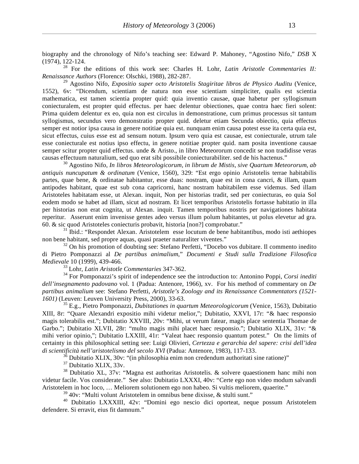biography and the chronology of Nifo's teaching see: Edward P. Mahoney, "Agostino Nifo," *DSB* X (1974), 122-124.

28 For the editions of this work see: Charles H. Lohr, *Latin Aristotle Commentaries II: Renaissance Authors* (Florence: Olschki, 1988), 282-287.

29 Agostino Nifo, *Expositio super octo Aristotelis Stagiritae libros de Physico Auditu* (Venice, 1552), 6v: "Dicendum, scientiam de natura non esse scientiam simpliciter, qualis est scientia mathematica, est tamen scientia propter quid: quia inventio causae, quae habetur per syllogismum coniecturalem, est propter quid effectus. per haec delentur obiectiones, quae contra haec fieri solent: Prima quidem delentur ex eo, quia non est circulus in demonstratione, cum primus processus sit tantum syllogismus, secundus vero demonstratio propter quid. deletur etiam Secunda obiectio, quia effectus semper est notior ipsa causa in genere notitiae quia est. nunquam enim causa potest esse ita certa quia est, sicut effectus, cuius esse est ad sensum notum. Ipsum vero quia est causae, est coniecturale, utrum tale esse coniecturale est notius ipso effectu, in genere notitiae propter quid. nam posita inventione causae semper scitur propter quid effectus. unde & Aristo., in libro Meteororum concedit se non tradidisse veras causas effectuum naturalium, sed quo erat sibi possibile coniecturabiliter. sed de his hactenus."

30 Agostino Nifo, *In libros Meteorologicorum, in librum de Mistis, sive Quartum Meteororum, ab antiquis nuncupatum & ordinatum* (Venice, 1560), 329: "Est ergo opinio Aristotelis terrae habitabilis partes, quae bene, & ordinatae habitantur, esse duas: nostram, quae est in cona cancri, & illam, quam antipodes habitant, quae est sub cona capricorni, hanc nostram habitabilem esse videmus. Sed illam Aristoteles habitatam esse, ut Alexan. inquit, Non per historias tradit, sed per coniecturas, eo quia Sol eodem modo se habet ad illam, sicut ad nostram. Et licet temporibus Aristotelis fortasse habitatio in illa per historias non erat cognita, ut Alexan. inquit. Tamen temporibus nostris per navigationes habitata reperitur. Asserunt enim invenisse gentes adeo versus illum polum habitantes, ut polus elevetur ad gra. 60. & sic quod Aristoteles coniecturis probavit, historia [non?] comprobatur."

 $31$  Ibid.: "Respondet Alexan. Aristotelem esse locutum de bene habitantibus, modo isti aethiopes non bene habitant, sed propre aquas, quasi praeter naturaliter viventes."

 $32$  On his promotion of doubting see: Stefano Perfetti, "Docebo vos dubitare. Il commento inedito di Pietro Pomponazzi al *De partibus animalium*," *Documenti e Studi sulla Tradizione Filosofica Medievale* 10 (1999), 439-466.

33 Lohr, *Latin Aristotle Commentaries* 347-362.

34 For Pomponazzi's spirit of independence see the introduction to: Antonino Poppi, *Corsi inediti dell'insegnamento padovano* vol. 1 (Padua: Antenore, 1966), xv. For his method of commentary on *De partibus animalium* see: Stefano Perfetti, *Aristotle's Zoology and its Renaissance Commentators (1521- 1601)* (Leuven: Leuven University Press, 2000), 33-63.

35 E.g., Pietro Pomponazzi, *Dubitationes in quartum Meteorologicorum* (Venice, 1563), Dubitatio XIII, 8r: "Quare Alexandri expositio mihi videtur melior,"; Dubitatio, XXVI, 17r: "& haec responsio magis tolerabilis est."; Dubitatio XXVIII, 20v: "Mihi, ut verum fatear, magis place sententia Thomae de Garbo."; Dubitatio XLVII, 28r: "multo magis mihi placet haec responsio."; Dubitatio XLIX, 31v: "& mihi verior opinio,"; Dubitatio LXXIII, 41r: "Valeat haec responsio quantum potest." On the limits of certainty in this philosophical setting see: Luigi Olivieri, *Certezza e gerarchia del sapere: crisi dell'idea di scientificità nell'aristotelismo del secolo XVI* (Padua: Antenore, 1983), 117-133.

36 Dubitatio XLIX, 30v: "(in philosophia enim non credendum authoritati sine ratione)"

<sup>37</sup> Dubitatio XLIX, 33v.

38 Dubitatio XL, 37v: "Magna est authoritas Aristotelis. & solvere quaestionem hanc mihi non videtur facile. Vos considerate." See also: Dubitatio LXXXI, 40v: "Certe ego non video modum salvandi Aristotelem in hoc loco, … Meliorem solutionem ego non habeo. Si vultis meliorem, quaerite."

 $39\,40v$ : "Multi volunt Aristotelem in omnibus bene dixisse, & stulti sunt."

40 Dubitatio LXXXIII, 42v: "Domini ego nescio dici oporteat, neque possum Aristotelem defendere. Si erravit, eius fit damnum."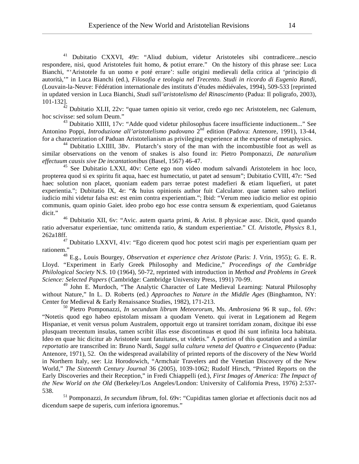41 Dubitatio CXXVI, 49r: "Aliud dubium, videtur Aristoteles sibi contradicere...nescio respondere, nisi, quod Aristoteles fuit homo, & potiut errare." On the history of this phrase see: Luca Bianchi, "'Aristotele fu un uomo e poté errare': sulle origini medievali della critica al 'principio di autorità,'" in Luca Bianchi (ed.), *Filosofia e teologia nel Trecento. Studi in ricordo di Eugenio Randi*, (Louvain-la-Neuve: Fédération internationale des instituts d'études médiévales, 1994), 509-533 [reprinted in updated version in Luca Bianchi, *Studi sull'aristotelismo del Rinascimento* (Padua: Il poligrafo, 2003), 101-132].

 $42$  Dubitatio XLII, 22v: "quae tamen opinio sit verior, credo ego nec Aristotelem, nec Galenum, hoc scivisse: sed solum Deum."

<sup>43</sup> Dubitatio XIIII, 17v: "Adde quod videtur philosophus facere insufficiente inductionem..." See Antonino Poppi, *Introduzione all'aristotelismo padovano* 2<sup>nd</sup> edition (Padova: Antenore, 1991), 13-44, for a characterization of Paduan Aristotelianism as privileging experience at the expense of metaphysics.

<sup>44</sup> Dubitatio LXIIII, 38v. Plutarch's story of the man with the incombustible foot as well as similar observations on the venom of snakes is also found in: Pietro Pomponazzi, *De naturalium effectuum causis sive De incantationibus* (Basel, 1567) 46-47.

45 See Dubitatio LXXI, 40v: Certe ego non video modum salvandi Aristotelem in hoc loco, propterea quod si ex spiritu fit aqua, haec est humectatio, ut patet ad sensum"; Dubitatio CVIII, 47r: "Sed haec solution non placet, quoniam eadem pars terrae potest madefieri & etiam liquefieri, ut patet experientia."; Dubitatio IX, 4r: "& huius opinionis author fuit Calculator. quae tamen salvo meliori iudicio mihi videtur falsa est: est enim contra experientiam."; Ibid: "Verum meo iudicio melior est opinio communis, quam opinio Gaiet. ideo probo ego hoc esse contra sensum & experientiam, quod Gaietanus dicit."

46 Dubitatio XII, 6v: "Avic. autem quarta primi, & Arist. 8 physicae ausc. Dicit, quod quando ratio adversatur experientiae, tunc omittenda ratio, & standum experientiae." Cf. Aristotle, *Physics* 8.1, 262a18ff.

 $47$  Dubitatio LXXVI,  $41v$ : "Ego dicerem quod hoc potest sciri magis per experientiam quam per rationem."

48 E.g., Louis Bourgey, *Observation et experience chez Aristote* (Paris: J. Vrin, 1955); G. E. R. Lloyd. "Experiment in Early Greek Philosophy and Medicine," *Proceedings of the Cambridge Philological Society* N.S. 10 (1964), 50-72, reprinted with introduction in *Method and Problems in Greek Science: Selected Papers* (Cambridge: Cambridge University Press, 1991) 70-99.

<sup>49</sup> John E. Murdoch, "The Analytic Character of Late Medieval Learning: Natural Philosophy without Nature," In L. D. Roberts (ed.) *Approaches to Nature in the Middle Ages* (Binghamton, NY: Center for Medieval & Early Renaissance Studies, 1982), 171-213.

50 Pietro Pomponazzi, *In secundum librum Meteororum*, Ms. *Ambrosiana* 96 R sup., fol. 69v: "Notetis quod ego habeo epistolam missam a quodam Veneto. qui iverat in Legationem ad Regem Hispaniae, et venit versus polum Australem, opportuit ergo ut transiret torridam zonam, dixitque ibi esse plusquam trecentum insulas, tamen scribit illas esse discontinuas et quod ibi sunt infinita loca habitata. Ideo en quae hic dicitur ab Aristotele sunt fatuitates, ut videtis." A portion of this quotation and a similar *reportatio* are transcribed in: Bruno Nardi, *Saggi sulla cultura veneta del Quattro e Cinquecento* (Padua: Antenore, 1971), 52. On the widespread availability of printed reports of the discovery of the New World in Northern Italy, see: Liz Horodowich, "Armchair Travelers and the Venetian Discovery of the New World," *The Sixteenth Century Journal* 36 (2005), 1039-1062; Rudolf Hirsch, "Printed Reports on the Early Discoveries and their Reception," in Fredi Chiappelli (ed.), *First Images of America: The Impact of the New World on the Old* (Berkeley/Los Angeles/London: University of California Press, 1976) 2:537- 538.

51 Pomponazzi, *In secundum librum,* fol. 69v: "Cupiditas tamen gloriae et affectionis ducit nos ad dicendum saepe de superis, cum inferiora ignoremus."